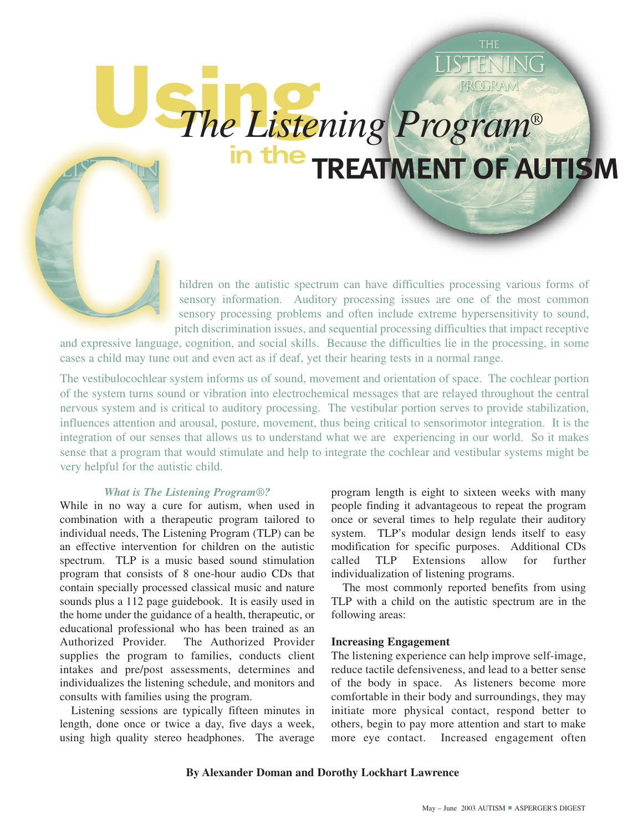# PROTRAN *The Listening Program®*

hildren on the autistic spectrum can have difficulties processing various forms of sensory information. Auditory processing issues are one of the most common sensory processing problems and often include extreme hypersensitivity to sound, pitch discrimination issues, and sequential processing difficulties that impact receptive

and expressive language, cognition, and social skills. Because the difficulties lie in the processing, in some cases a child may tune out and even act as if deaf, yet their hearing tests in a normal range.

The vestibulocochlear system informs us of sound, movement and orientation of space. The cochlear portion of the system turns sound or vibration into electrochemical messages that are relayed throughout the central nervous system and is critical to auditory processing. The vestibular portion serves to provide stabilization, influences attention and arousal, posture, movement, thus being critical to sensorimotor integration. It is the integration of our senses that allows us to understand what we are experiencing in our world. So it makes sense that a program that would stimulate and help to integrate the cochlear and vestibular systems might be very helpful for the autistic child.

### *What is The Listening Program®?*

While in no way a cure for autism, when used in combination with a therapeutic program tailored to individual needs, The Listening Program (TLP) can be an effective intervention for children on the autistic spectrum. TLP is a music based sound stimulation program that consists of 8 one-hour audio CDs that contain specially processed classical music and nature sounds plus a 112 page guidebook. It is easily used in the home under the guidance of a health, therapeutic, or educational professional who has been trained as an Authorized Provider. The Authorized Provider supplies the program to families, conducts client intakes and pre/post assessments, determines and individualizes the listening schedule, and monitors and consults with families using the program.

Listening sessions are typically fifteen minutes in length, done once or twice a day, five days a week, using high quality stereo headphones. The average

program length is eight to sixteen weeks with many people finding it advantageous to repeat the program once or several times to help regulate their auditory system. TLP's modular design lends itself to easy modification for specific purposes. Additional CDs called TLP Extensions allow for further individualization of listening programs.

The most commonly reported benefits from using TLP with a child on the autistic spectrum are in the following areas:

### **Increasing Engagement**

The listening experience can help improve self-image, reduce tactile defensiveness, and lead to a better sense of the body in space. As listeners become more comfortable in their body and surroundings, they may initiate more physical contact, respond better to others, begin to pay more attention and start to make more eye contact. Increased engagement often

### **By Alexander Doman and Dorothy Lockhart Lawrence**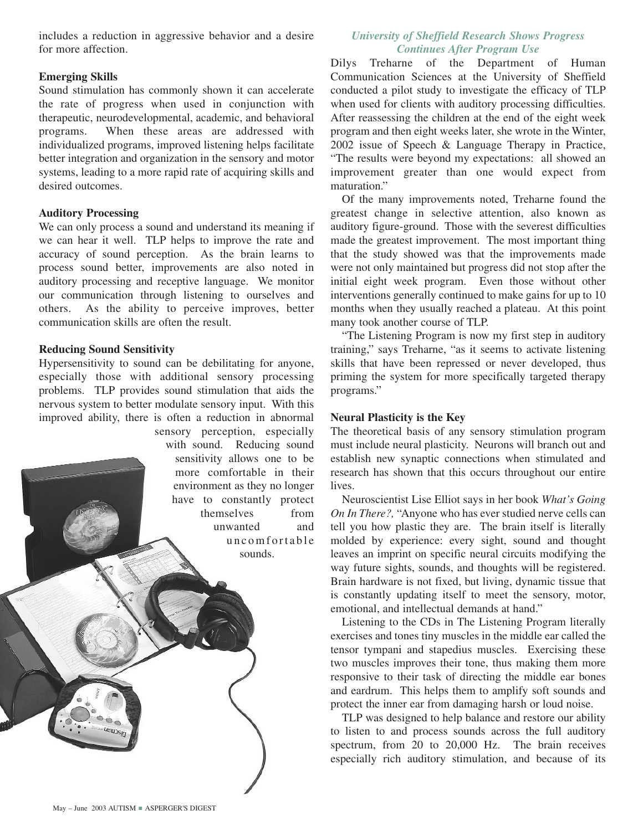includes a reduction in aggressive behavior and a desire for more affection.

# **Emerging Skills**

Sound stimulation has commonly shown it can accelerate the rate of progress when used in conjunction with therapeutic, neurodevelopmental, academic, and behavioral programs. When these areas are addressed with individualized programs, improved listening helps facilitate better integration and organization in the sensory and motor systems, leading to a more rapid rate of acquiring skills and desired outcomes.

# **Auditory Processing**

We can only process a sound and understand its meaning if we can hear it well. TLP helps to improve the rate and accuracy of sound perception. As the brain learns to process sound better, improvements are also noted in auditory processing and receptive language. We monitor our communication through listening to ourselves and others. As the ability to perceive improves, better communication skills are often the result.

# **Reducing Sound Sensitivity**

Hypersensitivity to sound can be debilitating for anyone, especially those with additional sensory processing problems. TLP provides sound stimulation that aids the nervous system to better modulate sensory input. With this improved ability, there is often a reduction in abnormal

sensory perception, especially with sound. Reducing sound sensitivity allows one to be more comfortable in their environment as they no longer have to constantly protect themselves from unwanted and uncomfortable sounds.

# *University of Sheffield Research Shows Progress Continues After Program Use*

Dilys Treharne of the Department of Human Communication Sciences at the University of Sheffield conducted a pilot study to investigate the efficacy of TLP when used for clients with auditory processing difficulties. After reassessing the children at the end of the eight week program and then eight weeks later, she wrote in the Winter, 2002 issue of Speech & Language Therapy in Practice, "The results were beyond my expectations: all showed an improvement greater than one would expect from maturation."

Of the many improvements noted, Treharne found the greatest change in selective attention, also known as auditory figure-ground. Those with the severest difficulties made the greatest improvement. The most important thing that the study showed was that the improvements made were not only maintained but progress did not stop after the initial eight week program. Even those without other interventions generally continued to make gains for up to 10 months when they usually reached a plateau. At this point many took another course of TLP.

"The Listening Program is now my first step in auditory training," says Treharne, "as it seems to activate listening skills that have been repressed or never developed, thus priming the system for more specifically targeted therapy programs."

### **Neural Plasticity is the Key**

The theoretical basis of any sensory stimulation program must include neural plasticity. Neurons will branch out and establish new synaptic connections when stimulated and research has shown that this occurs throughout our entire lives.

Neuroscientist Lise Elliot says in her book *What's Going On In There?,* "Anyone who has ever studied nerve cells can tell you how plastic they are. The brain itself is literally molded by experience: every sight, sound and thought leaves an imprint on specific neural circuits modifying the way future sights, sounds, and thoughts will be registered. Brain hardware is not fixed, but living, dynamic tissue that is constantly updating itself to meet the sensory, motor, emotional, and intellectual demands at hand."

Listening to the CDs in The Listening Program literally exercises and tones tiny muscles in the middle ear called the tensor tympani and stapedius muscles. Exercising these two muscles improves their tone, thus making them more responsive to their task of directing the middle ear bones and eardrum. This helps them to amplify soft sounds and protect the inner ear from damaging harsh or loud noise.

TLP was designed to help balance and restore our ability to listen to and process sounds across the full auditory spectrum, from 20 to 20,000 Hz. The brain receives especially rich auditory stimulation, and because of its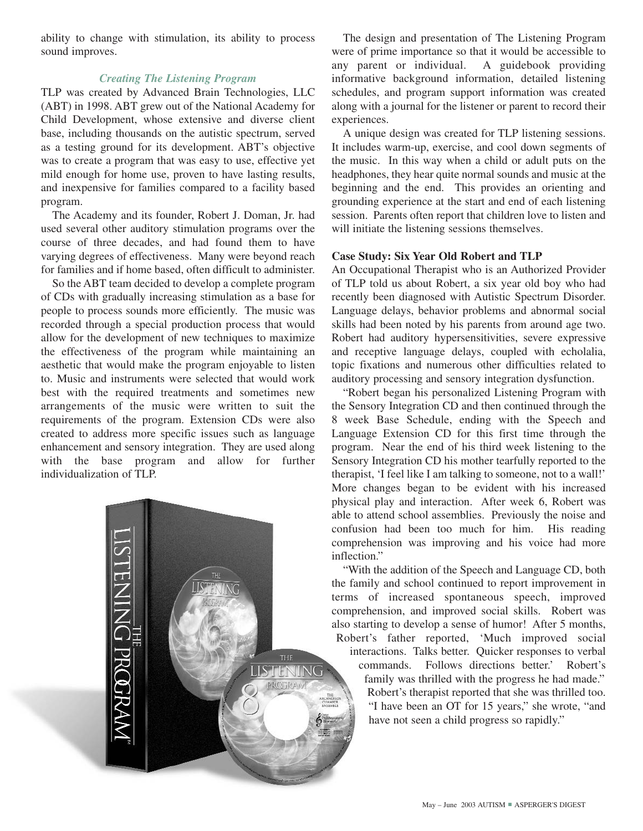ability to change with stimulation, its ability to process sound improves.

# *Creating The Listening Program*

TLP was created by Advanced Brain Technologies, LLC (ABT) in 1998. ABT grew out of the National Academy for Child Development, whose extensive and diverse client base, including thousands on the autistic spectrum, served as a testing ground for its development. ABT's objective was to create a program that was easy to use, effective yet mild enough for home use, proven to have lasting results, and inexpensive for families compared to a facility based program.

The Academy and its founder, Robert J. Doman, Jr. had used several other auditory stimulation programs over the course of three decades, and had found them to have varying degrees of effectiveness. Many were beyond reach for families and if home based, often difficult to administer.

So the ABT team decided to develop a complete program of CDs with gradually increasing stimulation as a base for people to process sounds more efficiently. The music was recorded through a special production process that would allow for the development of new techniques to maximize the effectiveness of the program while maintaining an aesthetic that would make the program enjoyable to listen to. Music and instruments were selected that would work best with the required treatments and sometimes new arrangements of the music were written to suit the requirements of the program. Extension CDs were also created to address more specific issues such as language enhancement and sensory integration. They are used along with the base program and allow for further individualization of TLP.



The design and presentation of The Listening Program were of prime importance so that it would be accessible to any parent or individual. A guidebook providing informative background information, detailed listening schedules, and program support information was created along with a journal for the listener or parent to record their experiences.

A unique design was created for TLP listening sessions. It includes warm-up, exercise, and cool down segments of the music. In this way when a child or adult puts on the headphones, they hear quite normal sounds and music at the beginning and the end. This provides an orienting and grounding experience at the start and end of each listening session. Parents often report that children love to listen and will initiate the listening sessions themselves.

### **Case Study: Six Year Old Robert and TLP**

An Occupational Therapist who is an Authorized Provider of TLP told us about Robert, a six year old boy who had recently been diagnosed with Autistic Spectrum Disorder. Language delays, behavior problems and abnormal social skills had been noted by his parents from around age two. Robert had auditory hypersensitivities, severe expressive and receptive language delays, coupled with echolalia, topic fixations and numerous other difficulties related to auditory processing and sensory integration dysfunction.

"Robert began his personalized Listening Program with the Sensory Integration CD and then continued through the 8 week Base Schedule, ending with the Speech and Language Extension CD for this first time through the program. Near the end of his third week listening to the Sensory Integration CD his mother tearfully reported to the therapist, 'I feel like I am talking to someone, not to a wall!' More changes began to be evident with his increased physical play and interaction. After week 6, Robert was able to attend school assemblies. Previously the noise and confusion had been too much for him. His reading comprehension was improving and his voice had more inflection."

"With the addition of the Speech and Language CD, both the family and school continued to report improvement in terms of increased spontaneous speech, improved comprehension, and improved social skills. Robert was also starting to develop a sense of humor! After 5 months, Robert's father reported, 'Much improved social interactions. Talks better. Quicker responses to verbal commands. Follows directions better.' Robert's family was thrilled with the progress he had made." Robert's therapist reported that she was thrilled too. "I have been an OT for 15 years," she wrote, "and have not seen a child progress so rapidly."